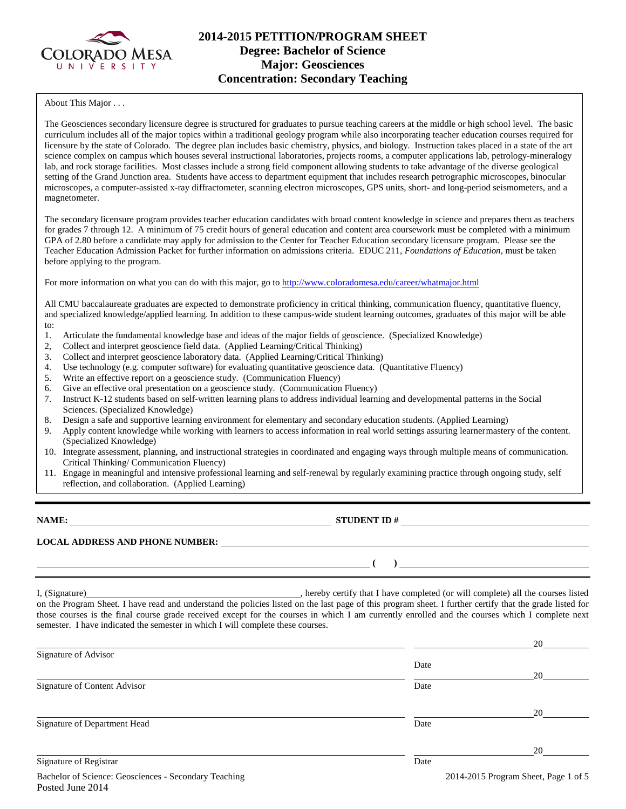

# **2014-2015 PETITION/PROGRAM SHEET Degree: Bachelor of Science Major: Geosciences Concentration: Secondary Teaching**

About This Major . . .

The Geosciences secondary licensure degree is structured for graduates to pursue teaching careers at the middle or high school level. The basic curriculum includes all of the major topics within a traditional geology program while also incorporating teacher education courses required for licensure by the state of Colorado. The degree plan includes basic chemistry, physics, and biology. Instruction takes placed in a state of the art science complex on campus which houses several instructional laboratories, projects rooms, a computer applications lab, petrology-mineralogy lab, and rock storage facilities. Most classes include a strong field component allowing students to take advantage of the diverse geological setting of the Grand Junction area. Students have access to department equipment that includes research petrographic microscopes, binocular microscopes, a computer-assisted x-ray diffractometer, scanning electron microscopes, GPS units, short- and long-period seismometers, and a magnetometer.

The secondary licensure program provides teacher education candidates with broad content knowledge in science and prepares them as teachers for grades 7 through 12. A minimum of 75 credit hours of general education and content area coursework must be completed with a minimum GPA of 2.80 before a candidate may apply for admission to the Center for Teacher Education secondary licensure program. Please see the Teacher Education Admission Packet for further information on admissions criteria. EDUC 211, *Foundations of Education*, must be taken before applying to the program.

For more information on what you can do with this major, go to<http://www.coloradomesa.edu/career/whatmajor.html>

All CMU baccalaureate graduates are expected to demonstrate proficiency in critical thinking, communication fluency, quantitative fluency, and specialized knowledge/applied learning. In addition to these campus-wide student learning outcomes, graduates of this major will be able to:

- 1. Articulate the fundamental knowledge base and ideas of the major fields of geoscience. (Specialized Knowledge)
- 2, Collect and interpret geoscience field data. (Applied Learning/Critical Thinking)
- 3. Collect and interpret geoscience laboratory data. (Applied Learning/Critical Thinking)
- 4. Use technology (e.g. computer software) for evaluating quantitative geoscience data. (Quantitative Fluency)
- 5. Write an effective report on a geoscience study. (Communication Fluency)
- 6. Give an effective oral presentation on a geoscience study. (Communication Fluency)
- 7. Instruct K-12 students based on self-written learning plans to address individual learning and developmental patterns in the Social Sciences. (Specialized Knowledge)
- 8. Design a safe and supportive learning environment for elementary and secondary education students. (Applied Learning)
- 9. Apply content knowledge while working with learners to access information in real world settings assuring learnermastery of the content. (Specialized Knowledge)
- 10. Integrate assessment, planning, and instructional strategies in coordinated and engaging ways through multiple means of communication. Critical Thinking/ Communication Fluency)
- 11. Engage in meaningful and intensive professional learning and self-renewal by regularly examining practice through ongoing study, self reflection, and collaboration. (Applied Learning)

**NAME: STUDENT ID #**

**( )** 

**LOCAL ADDRESS AND PHONE NUMBER:**

I, (Signature) , hereby certify that I have completed (or will complete) all the courses listed on the Program Sheet. I have read and understand the policies listed on the last page of this program sheet. I further certify that the grade listed for those courses is the final course grade received except for the courses in which I am currently enrolled and the courses which I complete next semester. I have indicated the semester in which I will complete these courses.

|                              |      | 20 |
|------------------------------|------|----|
| Signature of Advisor         |      |    |
|                              | Date |    |
|                              |      | 20 |
| Signature of Content Advisor | Date |    |
|                              |      |    |
|                              |      | 20 |
| Signature of Department Head | Date |    |
|                              |      |    |
|                              |      | 20 |
| Signature of Registrar       | Date |    |
|                              |      |    |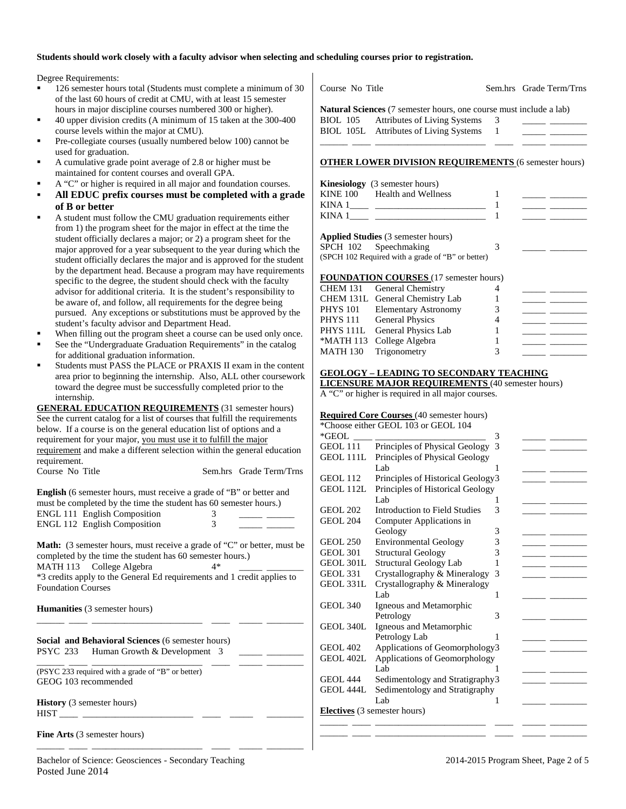### **Students should work closely with a faculty advisor when selecting and scheduling courses prior to registration.**

Degree Requirements:

- 126 semester hours total (Students must complete a minimum of 30 of the last 60 hours of credit at CMU, with at least 15 semester hours in major discipline courses numbered 300 or higher).
- 40 upper division credits (A minimum of 15 taken at the 300-400 course levels within the major at CMU).
- Pre-collegiate courses (usually numbered below 100) cannot be used for graduation.
- A cumulative grade point average of 2.8 or higher must be maintained for content courses and overall GPA.
- A "C" or higher is required in all major and foundation courses.
- **All EDUC prefix courses must be completed with a grade of B or better**
- A student must follow the CMU graduation requirements either from 1) the program sheet for the major in effect at the time the student officially declares a major; or 2) a program sheet for the major approved for a year subsequent to the year during which the student officially declares the major and is approved for the student by the department head. Because a program may have requirements specific to the degree, the student should check with the faculty advisor for additional criteria. It is the student's responsibility to be aware of, and follow, all requirements for the degree being pursued. Any exceptions or substitutions must be approved by the student's faculty advisor and Department Head.
- When filling out the program sheet a course can be used only once.
- See the "Undergraduate Graduation Requirements" in the catalog for additional graduation information.
- Students must PASS the PLACE or PRAXIS II exam in the content area prior to beginning the internship. Also, ALL other coursework toward the degree must be successfully completed prior to the internship.

**GENERAL EDUCATION REQUIREMENTS** (31 semester hours) See the current catalog for a list of courses that fulfill the requirements below. If a course is on the general education list of options and a requirement for your major, you must use it to fulfill the major requirement and make a different selection within the general education requirement.

| Course No Title |  | Sem.hrs Grade Term/Trns |
|-----------------|--|-------------------------|
|-----------------|--|-------------------------|

| <b>English</b> (6 semester hours, must receive a grade of "B" or better and |  |   |  |  |  |
|-----------------------------------------------------------------------------|--|---|--|--|--|
| must be completed by the time the student has 60 semester hours.)           |  |   |  |  |  |
| ENGL 111 English Composition                                                |  | 3 |  |  |  |
| <b>ENGL 112 English Composition</b>                                         |  | 3 |  |  |  |

Math: (3 semester hours, must receive a grade of "C" or better, must be completed by the time the student has 60 semester hours.) MATH 113 College Algebra 4\* \*3 credits apply to the General Ed requirements and 1 credit applies to Foundation Courses

\_\_\_\_\_\_ \_\_\_\_ \_\_\_\_\_\_\_\_\_\_\_\_\_\_\_\_\_\_\_\_\_\_\_\_ \_\_\_\_ \_\_\_\_\_ \_\_\_\_\_\_\_\_

\_\_\_\_\_\_ \_\_\_\_ \_\_\_\_\_\_\_\_\_\_\_\_\_\_\_\_\_\_\_\_\_\_\_\_ \_\_\_\_ \_\_\_\_\_ \_\_\_\_\_\_\_\_

**Humanities** (3 semester hours)

**Social and Behavioral Sciences** (6 semester hours) PSYC 233 Human Growth & Development 3

\_\_\_\_\_\_ \_\_\_\_ \_\_\_\_\_\_\_\_\_\_\_\_\_\_\_\_\_\_\_\_\_\_\_\_ \_\_\_\_ \_\_\_\_\_ \_\_\_\_\_\_\_\_ (PSYC 233 required with a grade of "B" or better) GEOG 103 recommended

**History** (3 semester hours) HIST \_\_\_\_ \_\_\_\_\_\_\_\_\_\_\_\_\_\_\_\_\_\_\_\_\_\_\_\_ \_\_\_\_ \_\_\_\_\_ \_\_\_\_\_\_\_\_

**Fine Arts** (3 semester hours)

Course No Title Sem.hrs Grade Term/Trns

**Natural Sciences** (7 semester hours, one course must include a lab) BIOL 105 Attributes of Living Systems 3 BIOL 105L Attributes of Living Systems 1 \_\_\_\_\_\_ \_\_\_\_ \_\_\_\_\_\_\_\_\_\_\_\_\_\_\_\_\_\_\_\_\_\_\_\_ \_\_\_\_ \_\_\_\_\_ \_\_\_\_\_\_\_\_

#### **OTHER LOWER DIVISION REQUIREMENTS** (6 semester hours)

|          | <b>Kinesiology</b> (3 semester hours) |  |
|----------|---------------------------------------|--|
| KINE 100 | Health and Wellness                   |  |
| KINA 1   |                                       |  |
| KINA 1   |                                       |  |

**Applied Studies** (3 semester hours) SPCH 102 Speechmaking 3 (SPCH 102 Required with a grade of "B" or better)

### **FOUNDATION COURSES** (17 semester hours)

| <b>1 OCTABLE FOR COUNSE</b> (17 SUINSNOT HOURS) |   |  |
|-------------------------------------------------|---|--|
| CHEM 131 General Chemistry                      |   |  |
| CHEM 131L General Chemistry Lab                 |   |  |
| PHYS 101 Elementary Astronomy                   | 3 |  |
| PHYS 111 General Physics                        |   |  |
| PHYS 111L General Physics Lab                   |   |  |
| *MATH 113 College Algebra                       |   |  |
| MATH 130 Trigonometry                           | 3 |  |
|                                                 |   |  |

# **GEOLOGY – LEADING TO SECONDARY TEACHING**

**LICENSURE MAJOR REQUIREMENTS** (40 semester hours)

A "C" or higher is required in all major courses.

### **Required Core Courses** (40 semester hours)

|                  | *Choose either GEOL 103 or GEOL 104 |   |  |
|------------------|-------------------------------------|---|--|
| *GEOL            |                                     | 3 |  |
| GEOL 111         | Principles of Physical Geology      | 3 |  |
| <b>GEOL 111L</b> | Principles of Physical Geology      |   |  |
|                  | Lab                                 | 1 |  |
| <b>GEOL 112</b>  | Principles of Historical Geology3   |   |  |
| GEOL 112L        | Principles of Historical Geology    |   |  |
|                  | Lab                                 | 1 |  |
| <b>GEOL 202</b>  | Introduction to Field Studies       | 3 |  |
| <b>GEOL 204</b>  | Computer Applications in            |   |  |
|                  | Geology                             | 3 |  |
| <b>GEOL 250</b>  | <b>Environmental Geology</b>        | 3 |  |
| <b>GEOL 301</b>  | <b>Structural Geology</b>           | 3 |  |
| GEOL 301L        | <b>Structural Geology Lab</b>       | 1 |  |
| <b>GEOL 331</b>  | Crystallography & Mineralogy        | 3 |  |
| GEOL 331L        | Crystallography & Mineralogy        |   |  |
|                  | Lab.                                | 1 |  |
| <b>GEOL 340</b>  | Igneous and Metamorphic             |   |  |
|                  | Petrology                           | 3 |  |
| GEOL 340L        | Igneous and Metamorphic             |   |  |
|                  | Petrology Lab                       |   |  |
| <b>GEOL 402</b>  | Applications of Geomorphology3      |   |  |
| GEOL 402L        | Applications of Geomorphology       |   |  |
|                  | Lab                                 |   |  |
| <b>GEOL 444</b>  | Sedimentology and Stratigraphy3     |   |  |
| GEOL 444L        | Sedimentology and Stratigraphy      |   |  |
|                  | Lab                                 | 1 |  |
|                  | <b>Electives</b> (3 semester hours) |   |  |
|                  |                                     |   |  |
|                  |                                     |   |  |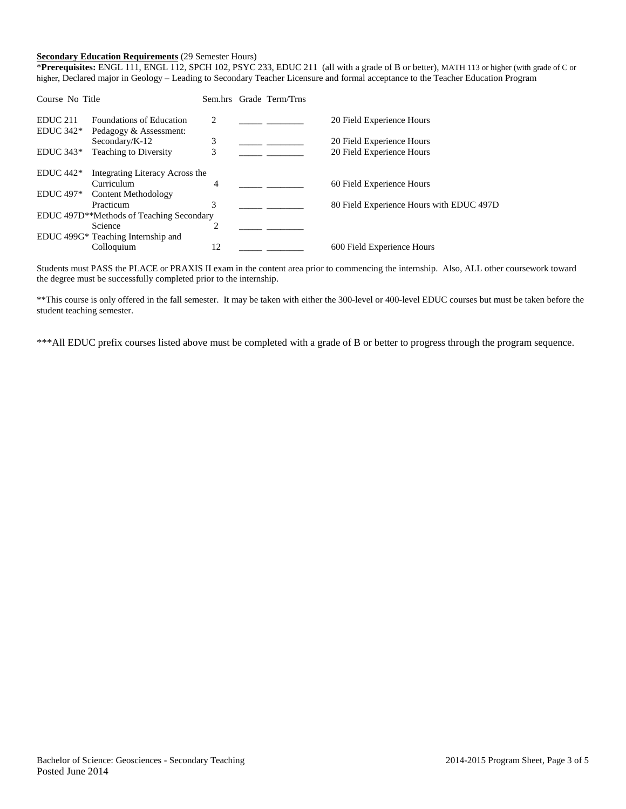## **Secondary Education Requirements** (29 Semester Hours)

\***Prerequisites:** ENGL 111, ENGL 112, SPCH 102, PSYC 233, EDUC 211 (all with a grade of B or better), MATH 113 or higher (with grade of C or higher, Declared major in Geology – Leading to Secondary Teacher Licensure and formal acceptance to the Teacher Education Program

| Course No Title     |                                                       |    | Sem.hrs Grade Term/Trns |                                          |
|---------------------|-------------------------------------------------------|----|-------------------------|------------------------------------------|
| EDUC <sub>211</sub> | <b>Foundations of Education</b>                       | 2  |                         | 20 Field Experience Hours                |
| $EDUC 342*$         | Pedagogy & Assessment:                                |    |                         |                                          |
|                     | Secondary/K-12                                        | 3  |                         | 20 Field Experience Hours                |
| $EDUC 343*$         | <b>Teaching to Diversity</b>                          | 3  |                         | 20 Field Experience Hours                |
| $EDUC 442*$         | Integrating Literacy Across the                       |    |                         |                                          |
|                     | Curriculum                                            | 4  |                         | 60 Field Experience Hours                |
| <b>EDUC</b> 497*    | Content Methodology                                   |    |                         |                                          |
|                     | Practicum                                             | 3  |                         | 80 Field Experience Hours with EDUC 497D |
|                     | EDUC 497D <sup>**</sup> Methods of Teaching Secondary |    |                         |                                          |
|                     | Science                                               | ↑  |                         |                                          |
|                     | EDUC 499G* Teaching Internship and                    |    |                         |                                          |
|                     | Colloquium                                            | 12 |                         | 600 Field Experience Hours               |

Students must PASS the PLACE or PRAXIS II exam in the content area prior to commencing the internship. Also, ALL other coursework toward the degree must be successfully completed prior to the internship.

\*\*This course is only offered in the fall semester. It may be taken with either the 300-level or 400-level EDUC courses but must be taken before the student teaching semester.

\*\*\*All EDUC prefix courses listed above must be completed with a grade of B or better to progress through the program sequence.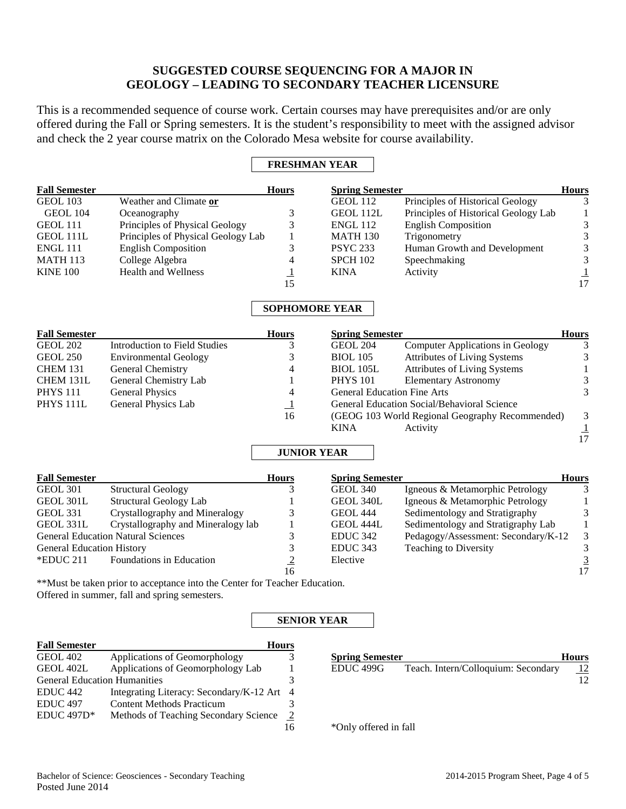# **SUGGESTED COURSE SEQUENCING FOR A MAJOR IN GEOLOGY – LEADING TO SECONDARY TEACHER LICENSURE**

This is a recommended sequence of course work. Certain courses may have prerequisites and/or are only offered during the Fall or Spring semesters. It is the student's responsibility to meet with the assigned advisor and check the 2 year course matrix on the Colorado Mesa website for course availability.

## **FRESHMAN YEAR**

| <b>Fall Semester</b>             |                                                                            | <b>Hours</b>          | <b>Spring Semester</b>             |                                                 | <b>Hours</b>                |
|----------------------------------|----------------------------------------------------------------------------|-----------------------|------------------------------------|-------------------------------------------------|-----------------------------|
| <b>GEOL 103</b>                  | Weather and Climate or                                                     |                       | <b>GEOL 112</b>                    | Principles of Historical Geology                | 3                           |
| GEOL 104                         | Oceanography                                                               | 3                     | GEOL 112L                          | Principles of Historical Geology Lab            | $\mathbf{1}$                |
| <b>GEOL 111</b>                  | Principles of Physical Geology                                             | 3                     | <b>ENGL 112</b>                    | <b>English Composition</b>                      | 3                           |
| GEOL 111L                        | Principles of Physical Geology Lab                                         | $\mathbf{1}$          | <b>MATH 130</b>                    | Trigonometry                                    | $\mathfrak{Z}$              |
| <b>ENGL 111</b>                  | <b>English Composition</b>                                                 | 3                     | <b>PSYC 233</b>                    | Human Growth and Development                    | 3                           |
| <b>MATH 113</b>                  | College Algebra                                                            | $\overline{4}$        | <b>SPCH 102</b>                    | Speechmaking                                    | 3                           |
| <b>KINE 100</b>                  | <b>Health and Wellness</b>                                                 | $\mathbf{1}$          | <b>KINA</b>                        | Activity                                        |                             |
|                                  |                                                                            | 15                    |                                    |                                                 | $\frac{1}{17}$              |
|                                  |                                                                            | <b>SOPHOMORE YEAR</b> |                                    |                                                 |                             |
| <b>Fall Semester</b>             |                                                                            | <b>Hours</b>          | <b>Spring Semester</b>             |                                                 | <b>Hours</b>                |
| <b>GEOL 202</b>                  | <b>Introduction to Field Studies</b>                                       | 3                     | <b>GEOL 204</b>                    | Computer Applications in Geology                | $\mathfrak{Z}$              |
| <b>GEOL 250</b>                  | <b>Environmental Geology</b>                                               | 3                     | <b>BIOL 105</b>                    | Attributes of Living Systems                    | $\ensuremath{\mathfrak{Z}}$ |
| <b>CHEM 131</b>                  | General Chemistry                                                          | 4                     | <b>BIOL 105L</b>                   | <b>Attributes of Living Systems</b>             | $\mathbf{1}$                |
| CHEM 131L                        | General Chemistry Lab                                                      | 1                     | <b>PHYS 101</b>                    | <b>Elementary Astronomy</b>                     | $\mathfrak{Z}$              |
| <b>PHYS 111</b>                  | <b>General Physics</b>                                                     | 4                     | <b>General Education Fine Arts</b> |                                                 | 3                           |
| PHYS <sub>111L</sub>             | General Physics Lab                                                        | $\perp$               |                                    | General Education Social/Behavioral Science     |                             |
|                                  |                                                                            | 16                    |                                    | (GEOG 103 World Regional Geography Recommended) | $\mathfrak{Z}$              |
|                                  |                                                                            |                       | <b>KINA</b>                        | Activity                                        | $\frac{1}{17}$              |
|                                  |                                                                            |                       |                                    |                                                 |                             |
|                                  |                                                                            | <b>JUNIOR YEAR</b>    |                                    |                                                 |                             |
| <b>Fall Semester</b>             |                                                                            | <b>Hours</b>          | <b>Spring Semester</b>             |                                                 | <b>Hours</b>                |
| <b>GEOL 301</b>                  | <b>Structural Geology</b>                                                  | 3                     | <b>GEOL 340</b>                    | Igneous & Metamorphic Petrology                 | 3                           |
| <b>GEOL 301L</b>                 | <b>Structural Geology Lab</b>                                              | $\mathbf{1}$          | GEOL 340L                          | Igneous & Metamorphic Petrology                 | $\mathbf{1}$                |
| <b>GEOL 331</b>                  | Crystallography and Mineralogy                                             | 3                     | <b>GEOL 444</b>                    | Sedimentology and Stratigraphy                  | $\ensuremath{\mathfrak{Z}}$ |
| GEOL 331L                        | Crystallography and Mineralogy lab                                         | 1                     | GEOL 444L                          | Sedimentology and Stratigraphy Lab              | $\,1\,$                     |
|                                  | <b>General Education Natural Sciences</b>                                  | 3                     | <b>EDUC 342</b>                    | Pedagogy/Assessment: Secondary/K-12             | $\ensuremath{\mathfrak{Z}}$ |
| <b>General Education History</b> |                                                                            | $\overline{3}$        | <b>EDUC 343</b>                    | <b>Teaching to Diversity</b>                    | $\overline{3}$              |
| *EDUC 211                        | Foundations in Education                                                   | $\frac{2}{16}$        | Elective                           |                                                 | $\frac{3}{17}$              |
|                                  |                                                                            |                       |                                    |                                                 |                             |
|                                  | **Must be taken prior to acceptance into the Center for Teacher Education. |                       |                                    |                                                 |                             |
|                                  | Offered in summer, fall and spring semesters.                              |                       |                                    |                                                 |                             |
|                                  |                                                                            | <b>SENIOR YEAR</b>    |                                    |                                                 |                             |
| <b>Fall Semester</b>             |                                                                            | <b>Hours</b>          |                                    |                                                 |                             |
| <b>GEOL 402</b>                  | Applications of Geomorphology                                              | 3                     | <b>Spring Semester</b>             |                                                 | Hours                       |
| GEOL 402L                        | Applications of Geomorphology Lab                                          | 1                     | EDUC <sub>499G</sub>               | Teach. Intern/Colloquium: Secondary             | 12                          |

16

 $\overline{12}$ 

\*Only offered in fall

General Education Humanities<br>EDUC 442 Integrating Literacy: Secondary/K-12 Art 4

EDUC 497 Content Methods Practicum 3<br>EDUC 497D\* Methods of Teaching Secondary Science 2 EDUC 497D\* Methods of Teaching Secondary Science 2

Integrating Literacy: Secondary/K-12 Art  $4$